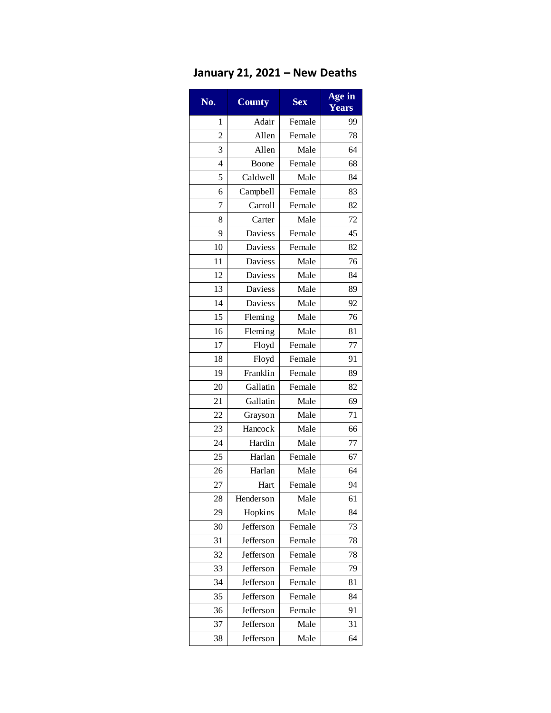## **January 21, 2021 – New Deaths**

| No. | <b>County</b>  | <b>Sex</b> | Age in<br>Years |
|-----|----------------|------------|-----------------|
| 1   | Adair          | Female     | 99              |
| 2   | Allen          | Female     | 78              |
| 3   | Allen          | Male       | 64              |
| 4   | Boone          | Female     | 68              |
| 5   | Caldwell       | Male       | 84              |
| 6   | Campbell       | Female     | 83              |
| 7   | Carroll        | Female     | 82              |
| 8   | Carter         | Male       | 72              |
| 9   | Daviess        | Female     | 45              |
| 10  | Daviess        | Female     | 82              |
| 11  | Daviess        | Male       | 76              |
| 12  | Daviess        | Male       | 84              |
| 13  | <b>Daviess</b> | Male       | 89              |
| 14  | Daviess        | Male       | 92              |
| 15  | Fleming        | Male       | 76              |
| 16  | Fleming        | Male       | 81              |
| 17  | Floyd          | Female     | 77              |
| 18  | Floyd          | Female     | 91              |
| 19  | Franklin       | Female     | 89              |
| 20  | Gallatin       | Female     | 82              |
| 21  | Gallatin       | Male       | 69              |
| 22  | Grayson        | Male       | 71              |
| 23  | Hancock        | Male       | 66              |
| 24  | Hardin         | Male       | 77              |
| 25  | Harlan         | Female     | 67              |
| 26  | Harlan         | Male       | 64              |
| 27  | Hart           | Female     | 94              |
| 28  | Henderson      | Male       | 61              |
| 29  | Hopkins        | Male       | 84              |
| 30  | Jefferson      | Female     | 73              |
| 31  | Jefferson      | Female     | 78              |
| 32  | Jefferson      | Female     | 78              |
| 33  | Jefferson      | Female     | 79              |
| 34  | Jefferson      | Female     | 81              |
| 35  | Jefferson      | Female     | 84              |
| 36  | Jefferson      | Female     | 91              |
| 37  | Jefferson      | Male       | 31              |
| 38  | Jefferson      | Male       | 64              |